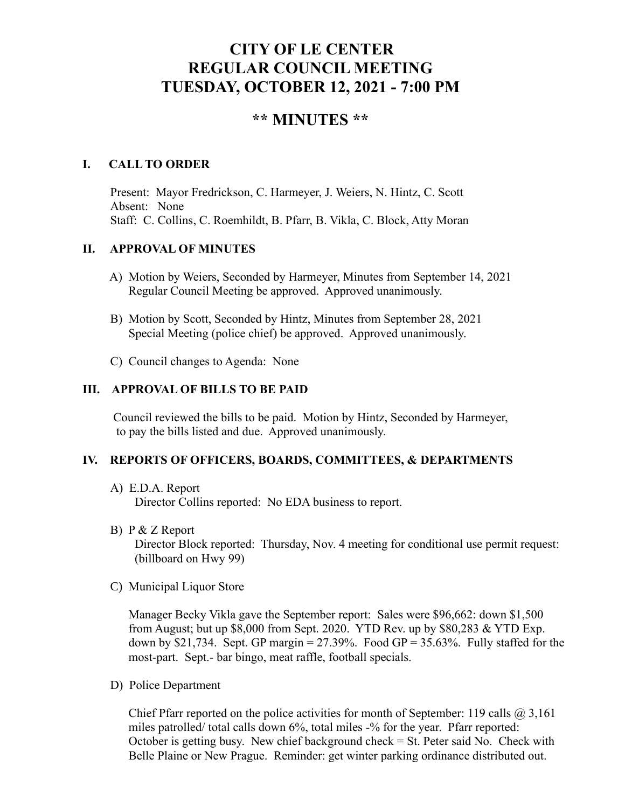# **CITY OF LE CENTER REGULAR COUNCIL MEETING TUESDAY, OCTOBER 12, 2021 - 7:00 PM**

# **\*\* MINUTES \*\***

## **I. CALL TO ORDER**

Present: Mayor Fredrickson, C. Harmeyer, J. Weiers, N. Hintz, C. Scott Absent: None Staff: C. Collins, C. Roemhildt, B. Pfarr, B. Vikla, C. Block, Atty Moran

### **II. APPROVAL OF MINUTES**

- A) Motion by Weiers, Seconded by Harmeyer, Minutes from September 14, 2021 Regular Council Meeting be approved. Approved unanimously.
- B) Motion by Scott, Seconded by Hintz, Minutes from September 28, 2021 Special Meeting (police chief) be approved. Approved unanimously.
- C) Council changes to Agenda: None

# **III. APPROVAL OF BILLS TO BE PAID**

Council reviewed the bills to be paid. Motion by Hintz, Seconded by Harmeyer, to pay the bills listed and due. Approved unanimously.

#### **IV. REPORTS OF OFFICERS, BOARDS, COMMITTEES, & DEPARTMENTS**

A) E.D.A. Report

Director Collins reported: No EDA business to report.

B) P & Z Report

 Director Block reported: Thursday, Nov. 4 meeting for conditional use permit request: (billboard on Hwy 99)

C) Municipal Liquor Store

Manager Becky Vikla gave the September report: Sales were \$96,662: down \$1,500 from August; but up \$8,000 from Sept. 2020. YTD Rev. up by \$80,283 & YTD Exp. down by \$21,734. Sept. GP margin =  $27.39\%$ . Food GP =  $35.63\%$ . Fully staffed for the most-part. Sept.- bar bingo, meat raffle, football specials.

D) Police Department

Chief Pfarr reported on the police activities for month of September: 119 calls  $\omega$  3,161 miles patrolled/ total calls down 6%, total miles -% for the year. Pfarr reported: October is getting busy. New chief background check  $=$  St. Peter said No. Check with Belle Plaine or New Prague. Reminder: get winter parking ordinance distributed out.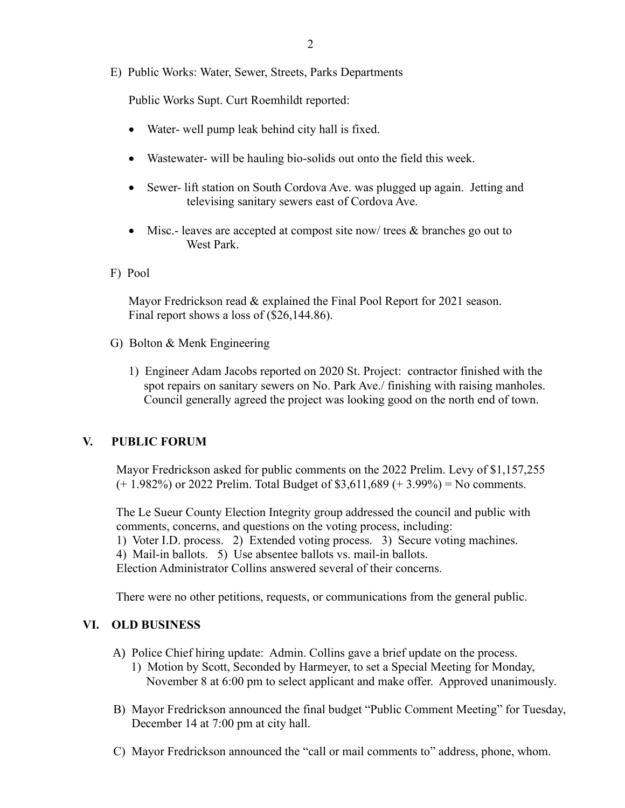E) Public Works: Water, Sewer, Streets, Parks Departments

Public Works Supt. Curt Roemhildt reported:

- Water- well pump leak behind city hall is fixed.
- Wastewater- will be hauling bio-solids out onto the field this week.
- Sewer- lift station on South Cordova Ave. was plugged up again. Jetting and televising sanitary sewers east of Cordova Ave.
- Misc.- leaves are accepted at compost site now/ trees & branches go out to West Park.
- F) Pool

 Mayor Fredrickson read & explained the Final Pool Report for 2021 season. Final report shows a loss of (\$26,144.86).

- G) Bolton & Menk Engineering
	- 1) Engineer Adam Jacobs reported on 2020 St. Project: contractor finished with the spot repairs on sanitary sewers on No. Park Ave./ finishing with raising manholes. Council generally agreed the project was looking good on the north end of town.

# **V. PUBLIC FORUM**

 Mayor Fredrickson asked for public comments on the 2022 Prelim. Levy of \$1,157,255  $(+ 1.982\%)$  or 2022 Prelim. Total Budget of \$3,611,689  $(+ 3.99\%)$  = No comments.

 The Le Sueur County Election Integrity group addressed the council and public with comments, concerns, and questions on the voting process, including: 1) Voter I.D. process. 2) Extended voting process. 3) Secure voting machines. 4) Mail-in ballots. 5) Use absentee ballots vs. mail-in ballots. Election Administrator Collins answered several of their concerns.

There were no other petitions, requests, or communications from the general public.

# **VI. OLD BUSINESS**

- A) Police Chief hiring update: Admin. Collins gave a brief update on the process. 1) Motion by Scott, Seconded by Harmeyer, to set a Special Meeting for Monday, November 8 at 6:00 pm to select applicant and make offer. Approved unanimously.
- B) Mayor Fredrickson announced the final budget "Public Comment Meeting" for Tuesday, December 14 at 7:00 pm at city hall.
- C) Mayor Fredrickson announced the "call or mail comments to" address, phone, whom.